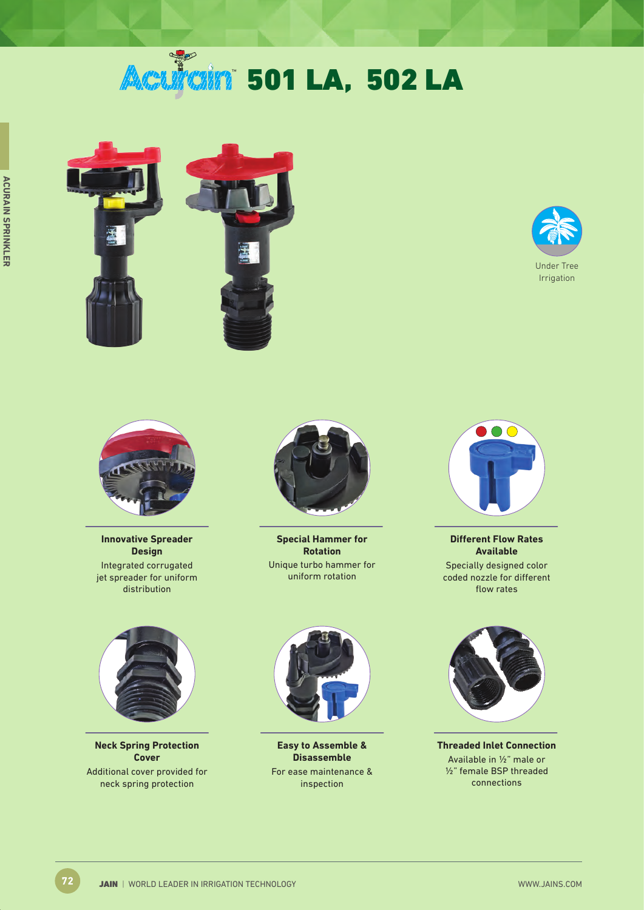# **Acultain 501 LA, 502 LA**







**Innovative Spreader Design** Integrated corrugated jet spreader for uniform distribution



**Special Hammer for Rotation** Unique turbo hammer for uniform rotation



**Different Flow Rates Available** Specially designed color coded nozzle for different flow rates



**Neck Spring Protection Cover** Additional cover provided for neck spring protection



**Easy to Assemble & Disassemble** For ease maintenance & inspection



**Threaded Inlet Connection** Available in ½" male or ½" female BSP threaded connections